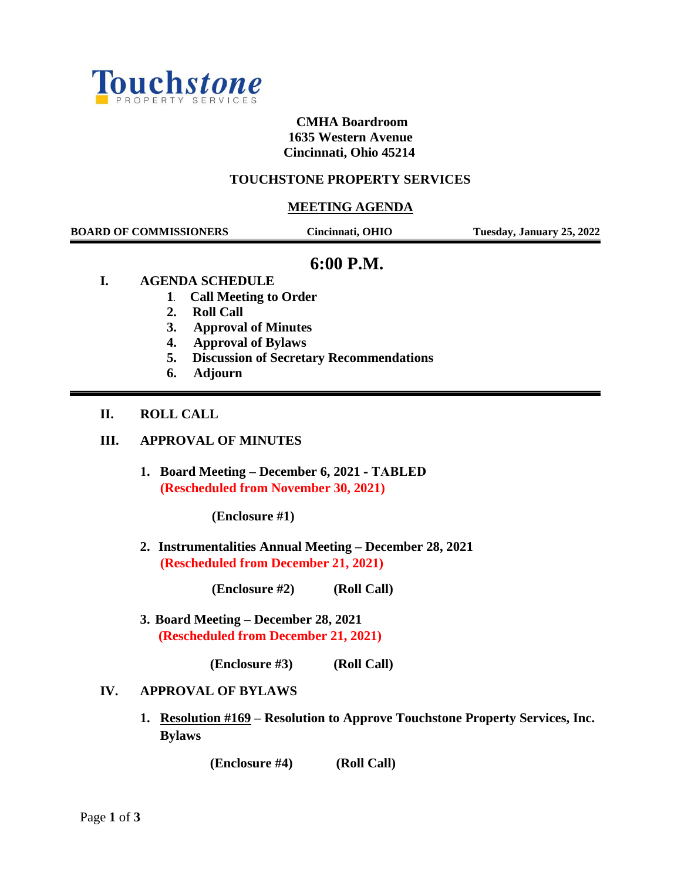

# **CMHA Boardroom 1635 Western Avenue Cincinnati, Ohio 45214**

## **TOUCHSTONE PROPERTY SERVICES**

### **MEETING AGENDA**

| <b>BOARD OF COMMISSIONERS</b> |                                                                                                                                         | Cincinnati, OHIO                               | Tuesday, January 25, 2022 |
|-------------------------------|-----------------------------------------------------------------------------------------------------------------------------------------|------------------------------------------------|---------------------------|
| I.                            | 6:00 P.M.<br><b>AGENDA SCHEDULE</b><br><b>Call Meeting to Order</b><br>1.<br><b>Roll Call</b><br>2.<br>3.<br><b>Approval of Minutes</b> |                                                |                           |
|                               | <b>Approval of Bylaws</b><br>4.<br>5.<br><b>Adjourn</b><br>6.                                                                           | <b>Discussion of Secretary Recommendations</b> |                           |
| II.                           | <b>ROLL CALL</b>                                                                                                                        |                                                |                           |
| Ш.                            | <b>APPROVAL OF MINUTES</b>                                                                                                              |                                                |                           |
|                               | 1. Board Meeting - December 6, 2021 - TABLED<br>(Rescheduled from November 30, 2021)                                                    |                                                |                           |
|                               | (Enclosure #1)                                                                                                                          |                                                |                           |

**2. Instrumentalities Annual Meeting – December 28, 2021 (Rescheduled from December 21, 2021)**

 **(Enclosure #2) (Roll Call)**

**3. Board Meeting – December 28, 2021 (Rescheduled from December 21, 2021)**

**(Enclosure #3) (Roll Call)**

## **IV. APPROVAL OF BYLAWS**

**1. Resolution #169 – Resolution to Approve Touchstone Property Services, Inc. Bylaws**

 **(Enclosure #4) (Roll Call)**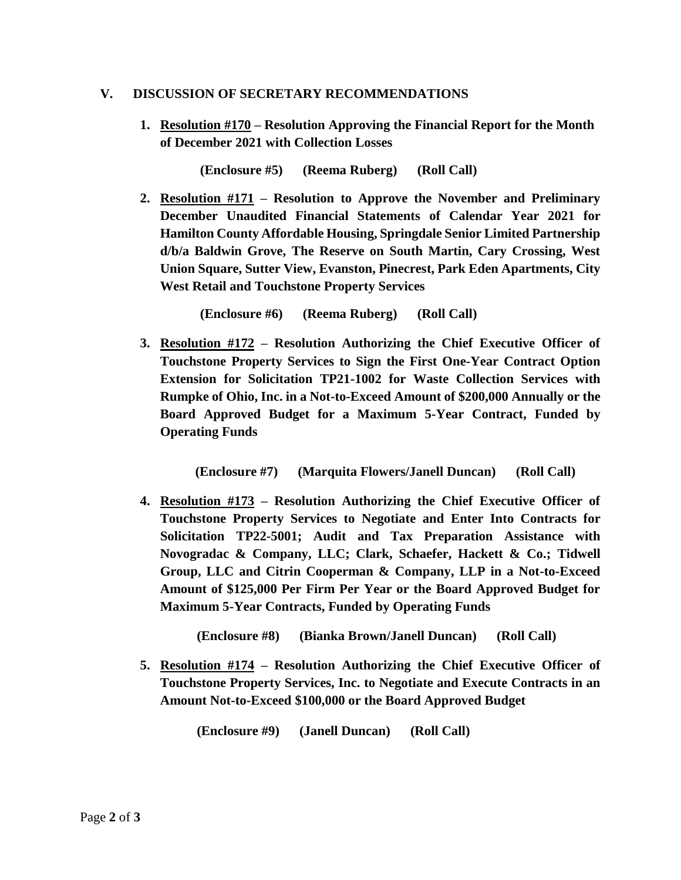### **V. DISCUSSION OF SECRETARY RECOMMENDATIONS**

**1. Resolution #170 – Resolution Approving the Financial Report for the Month of December 2021 with Collection Losses**

**(Enclosure #5) (Reema Ruberg) (Roll Call)**

**2. Resolution #171 – Resolution to Approve the November and Preliminary December Unaudited Financial Statements of Calendar Year 2021 for Hamilton County Affordable Housing, Springdale Senior Limited Partnership d/b/a Baldwin Grove, The Reserve on South Martin, Cary Crossing, West Union Square, Sutter View, Evanston, Pinecrest, Park Eden Apartments, City West Retail and Touchstone Property Services**

**(Enclosure #6) (Reema Ruberg) (Roll Call)**

**3. Resolution #172 – Resolution Authorizing the Chief Executive Officer of Touchstone Property Services to Sign the First One-Year Contract Option Extension for Solicitation TP21-1002 for Waste Collection Services with Rumpke of Ohio, Inc. in a Not-to-Exceed Amount of \$200,000 Annually or the Board Approved Budget for a Maximum 5-Year Contract, Funded by Operating Funds**

```
 (Enclosure #7) (Marquita Flowers/Janell Duncan) (Roll Call)
```
**4. Resolution #173 – Resolution Authorizing the Chief Executive Officer of Touchstone Property Services to Negotiate and Enter Into Contracts for Solicitation TP22-5001; Audit and Tax Preparation Assistance with Novogradac & Company, LLC; Clark, Schaefer, Hackett & Co.; Tidwell Group, LLC and Citrin Cooperman & Company, LLP in a Not-to-Exceed Amount of \$125,000 Per Firm Per Year or the Board Approved Budget for Maximum 5-Year Contracts, Funded by Operating Funds**

 **(Enclosure #8) (Bianka Brown/Janell Duncan) (Roll Call)**

**5. Resolution #174 – Resolution Authorizing the Chief Executive Officer of Touchstone Property Services, Inc. to Negotiate and Execute Contracts in an Amount Not-to-Exceed \$100,000 or the Board Approved Budget**

 **(Enclosure #9) (Janell Duncan) (Roll Call)**